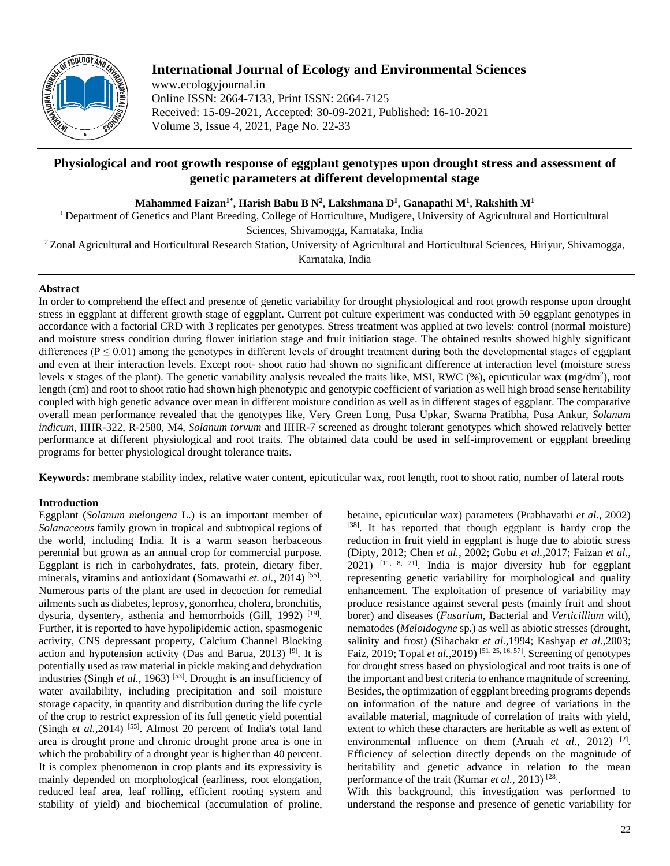

# **International Journal of Ecology and Environmental Sciences**

www.ecologyjournal.in Online ISSN: 2664-7133, Print ISSN: 2664-7125 Received: 15-09-2021, Accepted: 30-09-2021, Published: 16-10-2021 Volume 3, Issue 4, 2021, Page No. 22-33

## **Physiological and root growth response of eggplant genotypes upon drought stress and assessment of genetic parameters at different developmental stage**

**Mahammed Faizan1\* , Harish Babu B N<sup>2</sup> , Lakshmana D<sup>1</sup> , Ganapathi M<sup>1</sup> , Rakshith M<sup>1</sup>**

<sup>1</sup> Department of Genetics and Plant Breeding, College of Horticulture, Mudigere, University of Agricultural and Horticultural Sciences, Shivamogga, Karnataka, India

<sup>2</sup>Zonal Agricultural and Horticultural Research Station, University of Agricultural and Horticultural Sciences, Hiriyur, Shivamogga,

Karnataka, India

## **Abstract**

In order to comprehend the effect and presence of genetic variability for drought physiological and root growth response upon drought stress in eggplant at different growth stage of eggplant. Current pot culture experiment was conducted with 50 eggplant genotypes in accordance with a factorial CRD with 3 replicates per genotypes. Stress treatment was applied at two levels: control (normal moisture) and moisture stress condition during flower initiation stage and fruit initiation stage. The obtained results showed highly significant differences ( $P \le 0.01$ ) among the genotypes in different levels of drought treatment during both the developmental stages of eggplant and even at their interaction levels. Except root- shoot ratio had shown no significant difference at interaction level (moisture stress levels x stages of the plant). The genetic variability analysis revealed the traits like, MSI, RWC (%), epicuticular wax (mg/dm<sup>2</sup>), root length (cm) and root to shoot ratio had shown high phenotypic and genotypic coefficient of variation as well high broad sense heritability coupled with high genetic advance over mean in different moisture condition as well as in different stages of eggplant. The comparative overall mean performance revealed that the genotypes like, Very Green Long, Pusa Upkar, Swarna Pratibha, Pusa Ankur, *Solanum indicum*, IIHR-322, R-2580, M4, *Solanum torvum* and IIHR-7 screened as drought tolerant genotypes which showed relatively better performance at different physiological and root traits. The obtained data could be used in self-improvement or eggplant breeding programs for better physiological drought tolerance traits.

**Keywords:** membrane stability index, relative water content, epicuticular wax, root length, root to shoot ratio, number of lateral roots

## **Introduction**

Eggplant (*Solanum melongena* L.) is an important member of *Solanaceous* family grown in tropical and subtropical regions of the world, including India. It is a warm season herbaceous perennial but grown as an annual crop for commercial purpose. Eggplant is rich in carbohydrates, fats, protein, dietary fiber, minerals, vitamins and antioxidant (Somawathi *et. al.,* 2014) [55] . Numerous parts of the plant are used in decoction for remedial ailments such as diabetes, leprosy, gonorrhea, cholera, bronchitis, dysuria, dysentery, asthenia and hemorrhoids (Gill, 1992)<sup>[19]</sup>. Further, it is reported to have hypolipidemic action, spasmogenic activity, CNS depressant property, Calcium Channel Blocking action and hypotension activity (Das and Barua, 2013) [9]. It is potentially used as raw material in pickle making and dehydration industries (Singh *et al.,* 1963)<sup>[53]</sup>. Drought is an insufficiency of water availability, including precipitation and soil moisture storage capacity, in quantity and distribution during the life cycle of the crop to restrict expression of its full genetic yield potential (Singh  $et$  al., 2014)<sup>[55]</sup>. Almost 20 percent of India's total land area is drought prone and chronic drought prone area is one in which the probability of a drought year is higher than 40 percent. It is complex phenomenon in crop plants and its expressivity is mainly depended on morphological (earliness, root elongation, reduced leaf area, leaf rolling, efficient rooting system and stability of yield) and biochemical (accumulation of proline,

betaine, epicuticular wax) parameters (Prabhavathi *et al.,* 2002) [38]. It has reported that though eggplant is hardy crop the reduction in fruit yield in eggplant is huge due to abiotic stress (Dipty, 2012; Chen *et al.,* 2002; Gobu *et al.,*2017; Faizan *et al.,*  2021) [11, 8, 21] . India is major diversity hub for eggplant representing genetic variability for morphological and quality enhancement. The exploitation of presence of variability may produce resistance against several pests (mainly fruit and shoot borer) and diseases (*Fusarium*, Bacterial and *Verticillium* wilt), nematodes (*Meloidogyne* sp.) as well as abiotic stresses (drought, salinity and frost) (Sihachakr *et al.,*1994; Kashyap *et al.,*2003; Faiz, 2019; Topal *et al.*, 2019)<sup>[51, 25, 16, 57]. Screening of genotypes</sup> for drought stress based on physiological and root traits is one of the important and best criteria to enhance magnitude of screening. Besides, the optimization of eggplant breeding programs depends on information of the nature and degree of variations in the available material, magnitude of correlation of traits with yield, extent to which these characters are heritable as well as extent of environmental influence on them (Aruah *et al.*, 2012)<sup>[2]</sup>. Efficiency of selection directly depends on the magnitude of heritability and genetic advance in relation to the mean performance of the trait (Kumar *et al.*, 2013)<sup>[28]</sup>.

With this background, this investigation was performed to understand the response and presence of genetic variability for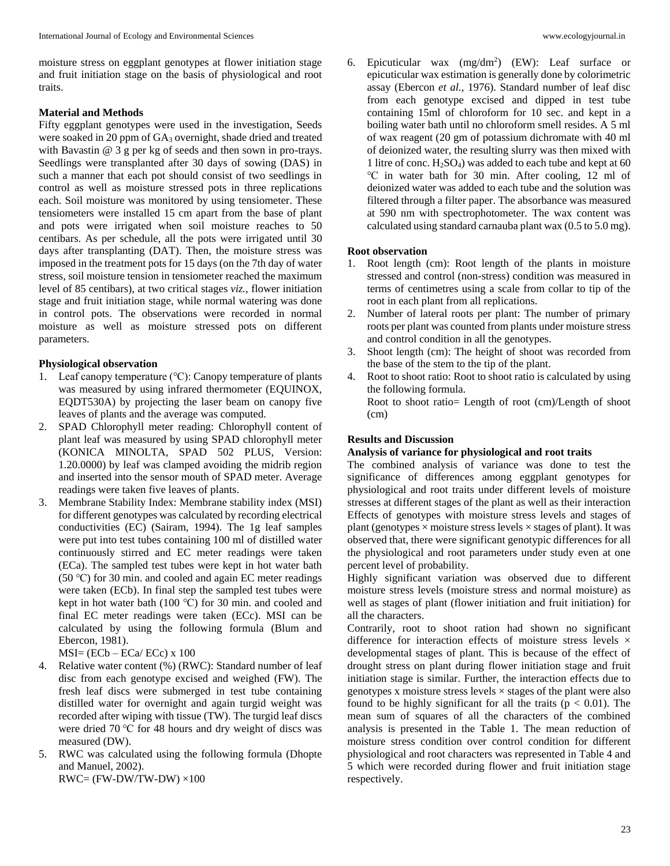moisture stress on eggplant genotypes at flower initiation stage and fruit initiation stage on the basis of physiological and root traits.

#### **Material and Methods**

Fifty eggplant genotypes were used in the investigation, Seeds were soaked in 20 ppm of GA<sub>3</sub> overnight, shade dried and treated with Bavastin @ 3 g per kg of seeds and then sown in pro-trays. Seedlings were transplanted after 30 days of sowing (DAS) in such a manner that each pot should consist of two seedlings in control as well as moisture stressed pots in three replications each. Soil moisture was monitored by using tensiometer. These tensiometers were installed 15 cm apart from the base of plant and pots were irrigated when soil moisture reaches to 50 centibars. As per schedule, all the pots were irrigated until 30 days after transplanting (DAT). Then, the moisture stress was imposed in the treatment pots for 15 days (on the 7th day of water stress, soil moisture tension in tensiometer reached the maximum level of 85 centibars), at two critical stages *viz.,* flower initiation stage and fruit initiation stage, while normal watering was done in control pots. The observations were recorded in normal moisture as well as moisture stressed pots on different parameters.

#### **Physiological observation**

- 1. Leaf canopy temperature (℃): Canopy temperature of plants was measured by using infrared thermometer (EQUINOX, EQDT530A) by projecting the laser beam on canopy five leaves of plants and the average was computed.
- 2. SPAD Chlorophyll meter reading: Chlorophyll content of plant leaf was measured by using SPAD chlorophyll meter (KONICA MINOLTA, SPAD 502 PLUS, Version: 1.20.0000) by leaf was clamped avoiding the midrib region and inserted into the sensor mouth of SPAD meter. Average readings were taken five leaves of plants.
- 3. Membrane Stability Index: Membrane stability index (MSI) for different genotypes was calculated by recording electrical conductivities (EC) (Sairam, 1994). The 1g leaf samples were put into test tubes containing 100 ml of distilled water continuously stirred and EC meter readings were taken (ECa). The sampled test tubes were kept in hot water bath (50 ℃) for 30 min. and cooled and again EC meter readings were taken (ECb). In final step the sampled test tubes were kept in hot water bath (100 ℃) for 30 min. and cooled and final EC meter readings were taken (ECc). MSI can be calculated by using the following formula (Blum and Ebercon, 1981).

 $MSI = (ECb - ECa/ECc) \times 100$ 

- 4. Relative water content (%) (RWC): Standard number of leaf disc from each genotype excised and weighed (FW). The fresh leaf discs were submerged in test tube containing distilled water for overnight and again turgid weight was recorded after wiping with tissue (TW). The turgid leaf discs were dried 70 ℃ for 48 hours and dry weight of discs was measured (DW).
- 5. RWC was calculated using the following formula (Dhopte and Manuel, 2002).  $RWC = (FW-DW/TW-DW) \times 100$

6. Epicuticular wax  $(mg/dm^2)$  (EW): Leaf surface or epicuticular wax estimation is generally done by colorimetric assay (Ebercon *et al.,* 1976). Standard number of leaf disc from each genotype excised and dipped in test tube containing 15ml of chloroform for 10 sec. and kept in a boiling water bath until no chloroform smell resides. A 5 ml of wax reagent (20 gm of potassium dichromate with 40 ml of deionized water, the resulting slurry was then mixed with 1 litre of conc. H2SO4) was added to each tube and kept at 60 ℃ in water bath for 30 min. After cooling, 12 ml of deionized water was added to each tube and the solution was filtered through a filter paper. The absorbance was measured at 590 nm with spectrophotometer. The wax content was calculated using standard carnauba plant wax (0.5 to 5.0 mg).

## **Root observation**

- 1. Root length (cm): Root length of the plants in moisture stressed and control (non-stress) condition was measured in terms of centimetres using a scale from collar to tip of the root in each plant from all replications.
- 2. Number of lateral roots per plant: The number of primary roots per plant was counted from plants under moisture stress and control condition in all the genotypes.
- 3. Shoot length (cm): The height of shoot was recorded from the base of the stem to the tip of the plant.
- 4. Root to shoot ratio: Root to shoot ratio is calculated by using the following formula. Root to shoot ratio= Length of root (cm)/Length of shoot (cm)

#### **Results and Discussion**

#### **Analysis of variance for physiological and root traits**

The combined analysis of variance was done to test the significance of differences among eggplant genotypes for physiological and root traits under different levels of moisture stresses at different stages of the plant as well as their interaction Effects of genotypes with moisture stress levels and stages of plant (genotypes  $\times$  moisture stress levels  $\times$  stages of plant). It was observed that, there were significant genotypic differences for all the physiological and root parameters under study even at one percent level of probability.

Highly significant variation was observed due to different moisture stress levels (moisture stress and normal moisture) as well as stages of plant (flower initiation and fruit initiation) for all the characters.

Contrarily, root to shoot ration had shown no significant difference for interaction effects of moisture stress levels  $\times$ developmental stages of plant. This is because of the effect of drought stress on plant during flower initiation stage and fruit initiation stage is similar. Further, the interaction effects due to genotypes x moisture stress levels  $\times$  stages of the plant were also found to be highly significant for all the traits ( $p < 0.01$ ). The mean sum of squares of all the characters of the combined analysis is presented in the Table 1. The mean reduction of moisture stress condition over control condition for different physiological and root characters was represented in Table 4 and 5 which were recorded during flower and fruit initiation stage respectively.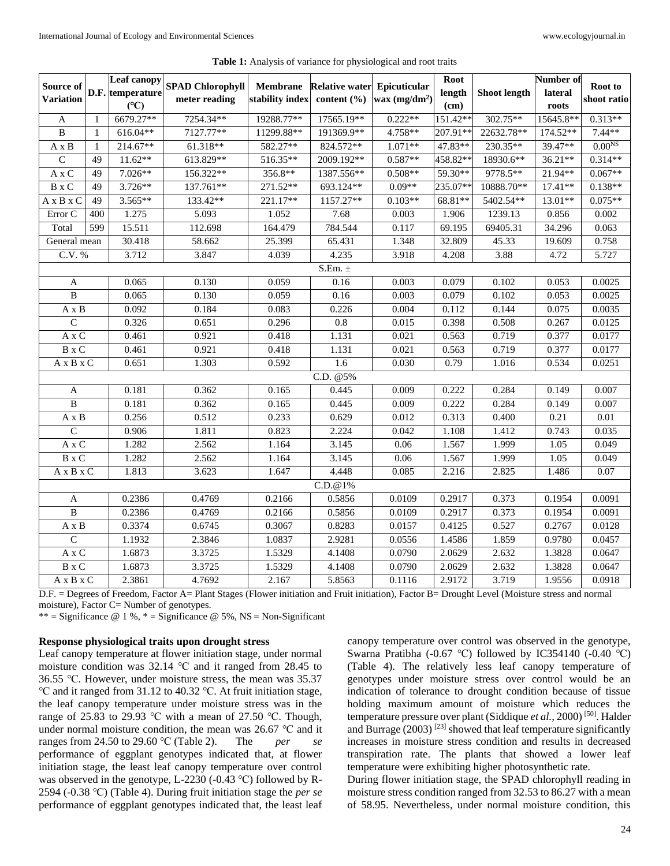| Source of                                                       |              | <b>Leaf canopy</b> | <b>SPAD Chlorophyll</b> | <b>Membrane</b> | <b>Relative water Epicuticular</b> |                 | <b>Root</b>      |                     | Number of          | Root to     |
|-----------------------------------------------------------------|--------------|--------------------|-------------------------|-----------------|------------------------------------|-----------------|------------------|---------------------|--------------------|-------------|
| <b>Variation</b>                                                |              | D.F. temperature   | meter reading           | stability index | content $(\% )$                    | wax $(mg/dm^2)$ | length           | <b>Shoot length</b> | lateral            | shoot ratio |
| $\mathbf{A}$                                                    | 1            | (C)<br>6679.27**   | 7254.34**               | 19288.77**      | 17565.19**                         | $0.222**$       | (cm)<br>151.42** | 302.75**            | roots<br>15645.8** | $0.313**$   |
| $\bf{B}$                                                        | $\mathbf{1}$ | 616.04**           | 7127.77**               | 11299.88**      | 191369.9**                         | 4.758**         | 207.91**         | 22632.78**          | 174.52**           | $7.44**$    |
| $A \times B$                                                    | 1            | 214.67**           | 61.318**                | 582.27**        | 824.572**                          | $1.071**$       | 47.83**          | 230.35**            | 39.47**            | $0.00NS$    |
| $\overline{C}$                                                  | 49           | $11.62**$          | 613.829**               | 516.35**        | 2009.192**                         | $0.587**$       | 458.82**         | 18930.6**           | $36.21**$          | $0.314**$   |
| A x C                                                           | 49           | $7.026**$          | 156.322**               | 356.8**         | 1387.556**                         | $0.508**$       | 59.30**          | 9778.5**            | 21.94**            | $0.067**$   |
| B x C                                                           | 49           | $3.726**$          | 137.761**               | 271.52**        | 693.124**                          | $0.09**$        | 235.07**         | 10888.70**          | $17.41**$          | $0.138**$   |
| $A \times B \times C$                                           | 49           | $3.565**$          | 133.42**                | 221.17**        | 1157.27**                          | $0.103**$       | 68.81**          | 5402.54**           | 13.01**            | $0.075**$   |
| Error C                                                         | 400          | 1.275              | 5.093                   | 1.052           | 7.68                               | 0.003           | 1.906            | 1239.13             | 0.856              | 0.002       |
| Total                                                           | 599          | 15.511             | 112.698                 | 164.479         | 784.544                            | 0.117           | 69.195           | 69405.31            | 34.296             | 0.063       |
| General mean                                                    |              | 30.418             | 58.662                  | 25.399          | 65.431                             | 1.348           | 32.809           | 45.33               | 19.609             | 0.758       |
| C.V. %                                                          |              | 3.712              | 3.847                   | 4.039           | 4.235                              | 3.918           | 4.208            | 3.88                | 4.72               | 5.727       |
|                                                                 |              |                    |                         |                 | S.Em. $\pm$                        |                 |                  |                     |                    |             |
| A                                                               |              | 0.065              | 0.130                   | 0.059           | 0.16                               | 0.003           | 0.079            | 0.102               | 0.053              | 0.0025      |
| B                                                               |              | 0.065              | 0.130                   | 0.059           | 0.16                               | 0.003           | 0.079            | 0.102               | 0.053              | 0.0025      |
| $\mathbf{A}\ge\mathbf{B}$                                       |              | 0.092              | 0.184                   | 0.083           | 0.226                              | 0.004           | 0.112            | 0.144               | 0.075              | 0.0035      |
| $\overline{C}$                                                  |              | 0.326              | 0.651                   | 0.296           | 0.8                                | 0.015           | 0.398            | 0.508               | 0.267              | 0.0125      |
| A x C                                                           |              | 0.461              | 0.921                   | 0.418           | 1.131                              | 0.021           | 0.563            | 0.719               | 0.377              | 0.0177      |
| $\mathbf{B} \ge \mathbf{C}$                                     |              | 0.461              | 0.921                   | 0.418           | 1.131                              | 0.021           | 0.563            | 0.719               | 0.377              | 0.0177      |
| A x B x C                                                       |              | 0.651              | 1.303                   | 0.592           | 1.6                                | 0.030           | 0.79             | 1.016               | 0.534              | 0.0251      |
|                                                                 |              |                    |                         |                 | C.D. @5%                           |                 |                  |                     |                    |             |
| A                                                               |              | 0.181              | 0.362                   | 0.165           | 0.445                              | 0.009           | 0.222            | 0.284               | 0.149              | 0.007       |
| B                                                               |              | 0.181              | 0.362                   | 0.165           | 0.445                              | 0.009           | 0.222            | 0.284               | 0.149              | 0.007       |
| $A \times B$                                                    |              | 0.256              | 0.512                   | 0.233           | 0.629                              | 0.012           | 0.313            | 0.400               | 0.21               | $0.01\,$    |
| $\overline{C}$                                                  |              | 0.906              | 1.811                   | 0.823           | 2.224                              | 0.042           | 1.108            | 1.412               | 0.743              | 0.035       |
| $\mathbf{A}\ge\mathbf{C}$                                       |              | 1.282              | 2.562                   | 1.164           | 3.145                              | 0.06            | 1.567            | 1.999               | 1.05               | 0.049       |
| $\mathbf{B} \ge \mathbf{C}$                                     |              | 1.282              | 2.562                   | 1.164           | 3.145                              | 0.06            | 1.567            | 1.999               | 1.05               | 0.049       |
| $A \times B \times C$                                           |              | 1.813              | 3.623                   | 1.647           | 4.448                              | 0.085           | 2.216            | 2.825               | 1.486              | 0.07        |
|                                                                 |              |                    |                         |                 | C.D. @ 1%                          |                 |                  |                     |                    |             |
| A                                                               |              | 0.2386             | 0.4769                  | 0.2166          | 0.5856                             | 0.0109          | 0.2917           | 0.373               | 0.1954             | 0.0091      |
| $\, {\bf B}$                                                    |              | 0.2386             | 0.4769                  | 0.2166          | 0.5856                             | 0.0109          | 0.2917           | 0.373               | 0.1954             | 0.0091      |
| A x B                                                           |              | 0.3374             | 0.6745                  | 0.3067          | 0.8283                             | 0.0157          | 0.4125           | 0.527               | 0.2767             | 0.0128      |
| $\overline{C}$                                                  |              | 1.1932             | 2.3846                  | 1.0837          | 2.9281                             | 0.0556          | 1.4586           | 1.859               | 0.9780             | 0.0457      |
| $\mathbf{A}\mathbf{x}\mathbf{C}$                                |              | 1.6873             | 3.3725                  | 1.5329          | 4.1408                             | 0.0790          | 2.0629           | 2.632               | 1.3828             | 0.0647      |
| $\mathbf{B} \ge \mathbf{C}$                                     |              | 1.6873             | 3.3725                  | 1.5329          | 4.1408                             | 0.0790          | 2.0629           | 2.632               | 1.3828             | 0.0647      |
| $\mathbf{A}\xspace$ x $\mathbf{B}\xspace$ x $\mathbf{C}\xspace$ |              | 2.3861             | 4.7692                  | 2.167           | 5.8563                             | 0.1116          | 2.9172           | 3.719               | 1.9556             | 0.0918      |

|  | <b>Table 1:</b> Analysis of variance for physiological and root traits |  |  |  |  |  |  |
|--|------------------------------------------------------------------------|--|--|--|--|--|--|
|--|------------------------------------------------------------------------|--|--|--|--|--|--|

D.F. = Degrees of Freedom, Factor A= Plant Stages (Flower initiation and Fruit initiation), Factor B= Drought Level (Moisture stress and normal moisture), Factor C= Number of genotypes.

\*\* = Significance  $@ 1 %$ , \* = Significance  $@ 5 %$ , NS = Non-Significant

## **Response physiological traits upon drought stress**

Leaf canopy temperature at flower initiation stage, under normal moisture condition was 32.14 ℃ and it ranged from 28.45 to 36.55 ℃. However, under moisture stress, the mean was 35.37 ℃ and it ranged from 31.12 to 40.32 ℃. At fruit initiation stage, the leaf canopy temperature under moisture stress was in the range of 25.83 to 29.93 ℃ with a mean of 27.50 ℃. Though, under normal moisture condition, the mean was 26.67 ℃ and it ranges from 24.50 to 29.60 ℃ (Table 2). The *per se* performance of eggplant genotypes indicated that, at flower initiation stage, the least leaf canopy temperature over control was observed in the genotype, L-2230 (-0.43 ℃) followed by R-2594 (-0.38 ℃) (Table 4). During fruit initiation stage the *per se* performance of eggplant genotypes indicated that, the least leaf canopy temperature over control was observed in the genotype, Swarna Pratibha (-0.67 ℃) followed by IC354140 (-0.40 ℃) (Table 4). The relatively less leaf canopy temperature of genotypes under moisture stress over control would be an indication of tolerance to drought condition because of tissue holding maximum amount of moisture which reduces the temperature pressure over plant (Siddique *et al.,* 2000) [50]. Halder and Burrage  $(2003)$ <sup>[23]</sup> showed that leaf temperature significantly increases in moisture stress condition and results in decreased transpiration rate. The plants that showed a lower leaf temperature were exhibiting higher photosynthetic rate.

During flower initiation stage, the SPAD chlorophyll reading in moisture stress condition ranged from 32.53 to 86.27 with a mean of 58.95. Nevertheless, under normal moisture condition, this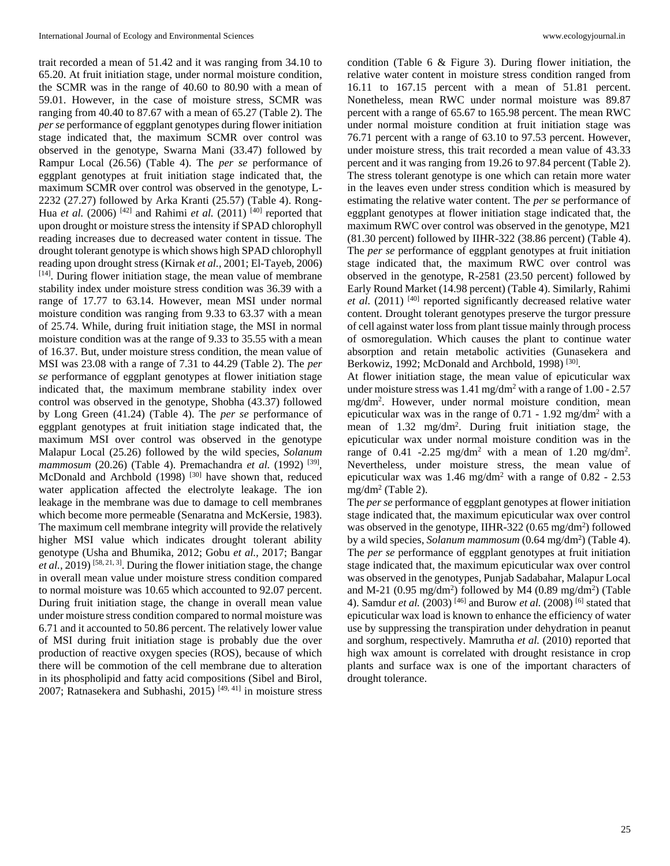trait recorded a mean of 51.42 and it was ranging from 34.10 to 65.20. At fruit initiation stage, under normal moisture condition, the SCMR was in the range of 40.60 to 80.90 with a mean of 59.01. However, in the case of moisture stress, SCMR was ranging from 40.40 to 87.67 with a mean of 65.27 (Table 2). The *per se* performance of eggplant genotypes during flower initiation stage indicated that, the maximum SCMR over control was observed in the genotype, Swarna Mani (33.47) followed by Rampur Local (26.56) (Table 4). The *per se* performance of eggplant genotypes at fruit initiation stage indicated that, the maximum SCMR over control was observed in the genotype, L-2232 (27.27) followed by Arka Kranti (25.57) (Table 4). Rong-Hua *et al.* (2006) <sup>[42]</sup> and Rahimi *et al.* (2011) <sup>[40]</sup> reported that upon drought or moisture stress the intensity if SPAD chlorophyll reading increases due to decreased water content in tissue. The drought tolerant genotype is which shows high SPAD chlorophyll reading upon drought stress (Kirnak *et al.,* 2001; El-Tayeb, 2006) [14] . During flower initiation stage, the mean value of membrane stability index under moisture stress condition was 36.39 with a range of 17.77 to 63.14. However, mean MSI under normal moisture condition was ranging from 9.33 to 63.37 with a mean of 25.74. While, during fruit initiation stage, the MSI in normal moisture condition was at the range of 9.33 to 35.55 with a mean of 16.37. But, under moisture stress condition, the mean value of MSI was 23.08 with a range of 7.31 to 44.29 (Table 2). The *per se* performance of eggplant genotypes at flower initiation stage indicated that, the maximum membrane stability index over control was observed in the genotype, Shobha (43.37) followed by Long Green (41.24) (Table 4). The *per se* performance of eggplant genotypes at fruit initiation stage indicated that, the maximum MSI over control was observed in the genotype Malapur Local (25.26) followed by the wild species, *Solanum mammosum* (20.26) (Table 4). Premachandra *et al.* (1992) [39] , McDonald and Archbold (1998)  $[30]$  have shown that, reduced water application affected the electrolyte leakage. The ion leakage in the membrane was due to damage to cell membranes which become more permeable (Senaratna and McKersie, 1983). The maximum cell membrane integrity will provide the relatively higher MSI value which indicates drought tolerant ability genotype (Usha and Bhumika, 2012; Gobu *et al.,* 2017; Bangar *et al.,* 2019) [58, 21, 3]. During the flower initiation stage, the change in overall mean value under moisture stress condition compared to normal moisture was 10.65 which accounted to 92.07 percent. During fruit initiation stage, the change in overall mean value under moisture stress condition compared to normal moisture was 6.71 and it accounted to 50.86 percent. The relatively lower value of MSI during fruit initiation stage is probably due the over production of reactive oxygen species (ROS), because of which there will be commotion of the cell membrane due to alteration in its phospholipid and fatty acid compositions (Sibel and Birol, 2007; Ratnasekera and Subhashi, 2015) [49, 41] in moisture stress

condition (Table 6 & Figure 3). During flower initiation, the relative water content in moisture stress condition ranged from 16.11 to 167.15 percent with a mean of 51.81 percent. Nonetheless, mean RWC under normal moisture was 89.87 percent with a range of 65.67 to 165.98 percent. The mean RWC under normal moisture condition at fruit initiation stage was 76.71 percent with a range of 63.10 to 97.53 percent. However, under moisture stress, this trait recorded a mean value of 43.33 percent and it was ranging from 19.26 to 97.84 percent (Table 2). The stress tolerant genotype is one which can retain more water in the leaves even under stress condition which is measured by estimating the relative water content. The *per se* performance of eggplant genotypes at flower initiation stage indicated that, the maximum RWC over control was observed in the genotype, M21 (81.30 percent) followed by IIHR-322 (38.86 percent) (Table 4). The *per se* performance of eggplant genotypes at fruit initiation stage indicated that, the maximum RWC over control was observed in the genotype, R-2581 (23.50 percent) followed by Early Round Market (14.98 percent) (Table 4). Similarly, Rahimi et al. (2011) <sup>[40]</sup> reported significantly decreased relative water content. Drought tolerant genotypes preserve the turgor pressure of cell against water loss from plant tissue mainly through process of osmoregulation. Which causes the plant to continue water absorption and retain metabolic activities (Gunasekera and Berkowiz, 1992; McDonald and Archbold, 1998)<sup>[30]</sup>.

At flower initiation stage, the mean value of epicuticular wax under moisture stress was  $1.41 \text{ mg/dm}^2$  with a range of  $1.00 - 2.57$ mg/dm<sup>2</sup> . However, under normal moisture condition, mean epicuticular wax was in the range of  $0.71 - 1.92$  mg/dm<sup>2</sup> with a mean of 1.32 mg/dm<sup>2</sup>. During fruit initiation stage, the epicuticular wax under normal moisture condition was in the range of 0.41 -2.25 mg/dm<sup>2</sup> with a mean of 1.20 mg/dm<sup>2</sup>. Nevertheless, under moisture stress, the mean value of epicuticular wax was  $1.46 \text{ mg/dm}^2$  with a range of 0.82 - 2.53 mg/dm<sup>2</sup> (Table 2).

The *per se* performance of eggplant genotypes at flower initiation stage indicated that, the maximum epicuticular wax over control was observed in the genotype, IIHR-322 (0.65 mg/dm<sup>2</sup>) followed by a wild species, *Solanum mammosum* (0.64 mg/dm<sup>2</sup>) (Table 4). The *per se* performance of eggplant genotypes at fruit initiation stage indicated that, the maximum epicuticular wax over control was observed in the genotypes, Punjab Sadabahar, Malapur Local and M-21 (0.95 mg/dm<sup>2</sup>) followed by M4 (0.89 mg/dm<sup>2</sup>) (Table 4). Samdur *et al.* (2003) [46] and Burow *et al.* (2008) [6] stated that epicuticular wax load is known to enhance the efficiency of water use by suppressing the transpiration under dehydration in peanut and sorghum, respectively. Mamrutha *et al.* (2010) reported that high wax amount is correlated with drought resistance in crop plants and surface wax is one of the important characters of drought tolerance.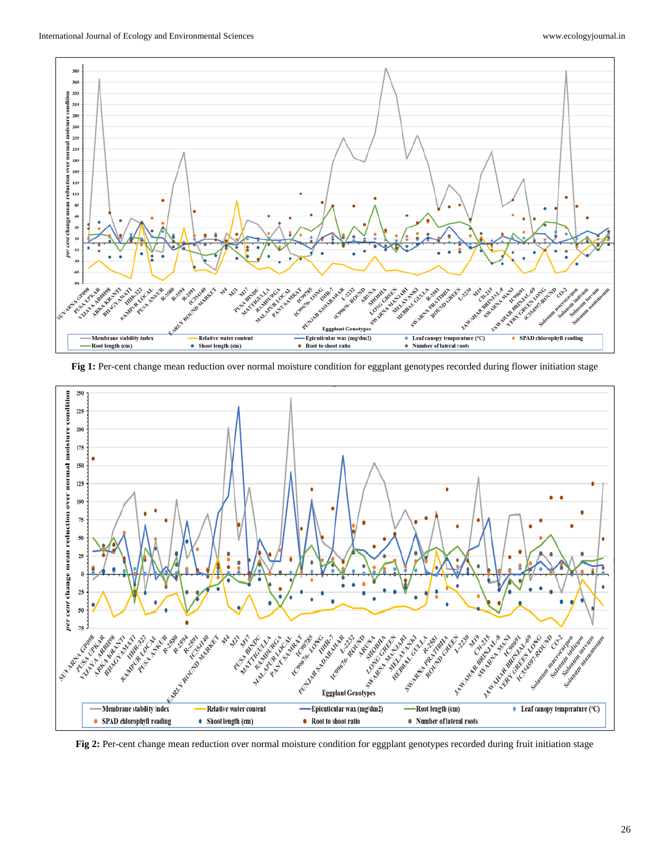

**Fig 1:** Per-cent change mean reduction over normal moisture condition for eggplant genotypes recorded during flower initiation stage



Fig 2: Per-cent change mean reduction over normal moisture condition for eggplant genotypes recorded during fruit initiation stage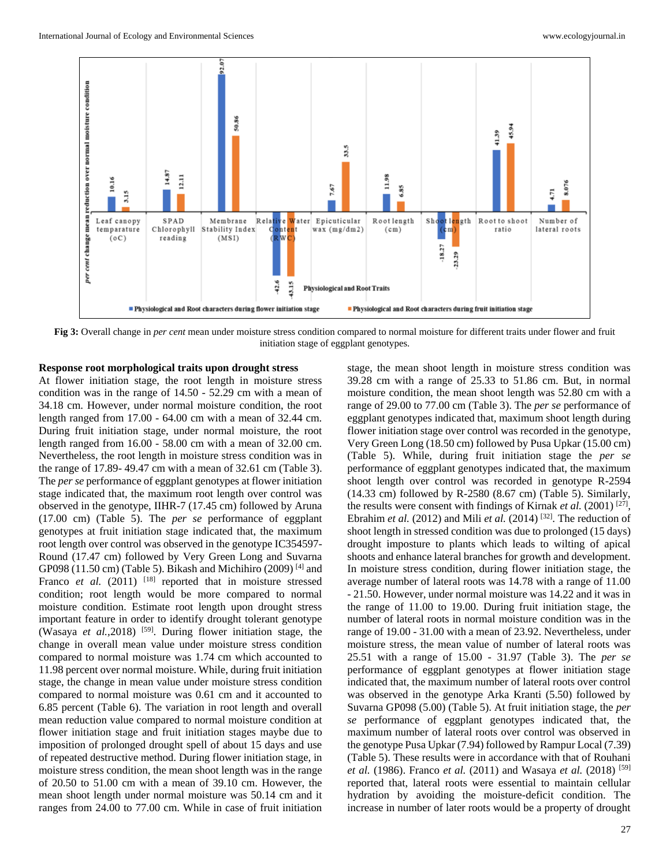

**Fig 3:** Overall change in *per cent* mean under moisture stress condition compared to normal moisture for different traits under flower and fruit initiation stage of eggplant genotypes.

#### **Response root morphological traits upon drought stress**

At flower initiation stage, the root length in moisture stress condition was in the range of 14.50 - 52.29 cm with a mean of 34.18 cm. However, under normal moisture condition, the root length ranged from 17.00 - 64.00 cm with a mean of 32.44 cm. During fruit initiation stage, under normal moisture, the root length ranged from 16.00 - 58.00 cm with a mean of 32.00 cm. Nevertheless, the root length in moisture stress condition was in the range of 17.89- 49.47 cm with a mean of 32.61 cm (Table 3). The *per se* performance of eggplant genotypes at flower initiation stage indicated that, the maximum root length over control was observed in the genotype, IIHR-7 (17.45 cm) followed by Aruna (17.00 cm) (Table 5). The *per se* performance of eggplant genotypes at fruit initiation stage indicated that, the maximum root length over control was observed in the genotype IC354597- Round (17.47 cm) followed by Very Green Long and Suvarna GP098 (11.50 cm) (Table 5). Bikash and Michihiro (2009)  $^{[4]}$  and Franco *et al.* (2011) <sup>[18]</sup> reported that in moisture stressed condition; root length would be more compared to normal moisture condition. Estimate root length upon drought stress important feature in order to identify drought tolerant genotype (Wasaya *et al.*, 2018) <sup>[59]</sup>. During flower initiation stage, the change in overall mean value under moisture stress condition compared to normal moisture was 1.74 cm which accounted to 11.98 percent over normal moisture. While, during fruit initiation stage, the change in mean value under moisture stress condition compared to normal moisture was 0.61 cm and it accounted to 6.85 percent (Table 6). The variation in root length and overall mean reduction value compared to normal moisture condition at flower initiation stage and fruit initiation stages maybe due to imposition of prolonged drought spell of about 15 days and use of repeated destructive method. During flower initiation stage, in moisture stress condition, the mean shoot length was in the range of 20.50 to 51.00 cm with a mean of 39.10 cm. However, the mean shoot length under normal moisture was 50.14 cm and it ranges from 24.00 to 77.00 cm. While in case of fruit initiation

stage, the mean shoot length in moisture stress condition was 39.28 cm with a range of 25.33 to 51.86 cm. But, in normal moisture condition, the mean shoot length was 52.80 cm with a range of 29.00 to 77.00 cm (Table 3). The *per se* performance of eggplant genotypes indicated that, maximum shoot length during flower initiation stage over control was recorded in the genotype, Very Green Long (18.50 cm) followed by Pusa Upkar (15.00 cm) (Table 5). While, during fruit initiation stage the *per se* performance of eggplant genotypes indicated that, the maximum shoot length over control was recorded in genotype R-2594 (14.33 cm) followed by R-2580 (8.67 cm) (Table 5). Similarly, the results were consent with findings of Kirnak *et al.* (2001)<sup>[27]</sup>, Ebrahim *et al.* (2012) and Mili *et al.* (2014) [32]. The reduction of shoot length in stressed condition was due to prolonged (15 days) drought imposture to plants which leads to wilting of apical shoots and enhance lateral branches for growth and development. In moisture stress condition, during flower initiation stage, the average number of lateral roots was 14.78 with a range of 11.00 - 21.50. However, under normal moisture was 14.22 and it was in the range of 11.00 to 19.00. During fruit initiation stage, the number of lateral roots in normal moisture condition was in the range of 19.00 - 31.00 with a mean of 23.92. Nevertheless, under moisture stress, the mean value of number of lateral roots was 25.51 with a range of 15.00 - 31.97 (Table 3). The *per se* performance of eggplant genotypes at flower initiation stage indicated that, the maximum number of lateral roots over control was observed in the genotype Arka Kranti (5.50) followed by Suvarna GP098 (5.00) (Table 5). At fruit initiation stage, the *per se* performance of eggplant genotypes indicated that, the maximum number of lateral roots over control was observed in the genotype Pusa Upkar (7.94) followed by Rampur Local (7.39) (Table 5). These results were in accordance with that of Rouhani *et al.* (1986). Franco *et al.* (2011) and Wasaya *et al.* (2018) [59] reported that, lateral roots were essential to maintain cellular hydration by avoiding the moisture-deficit condition. The increase in number of later roots would be a property of drought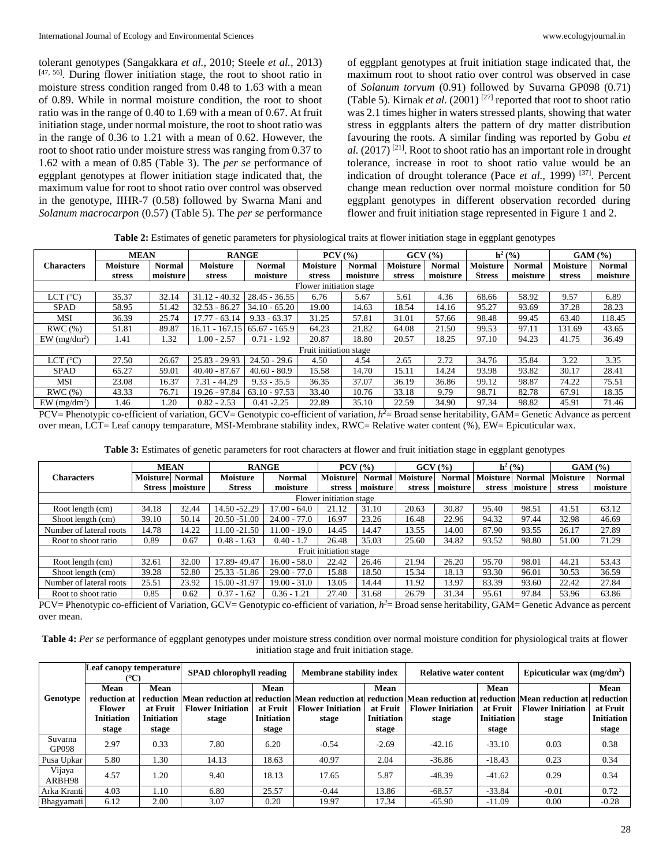tolerant genotypes (Sangakkara *et al.,* 2010; Steele *et al.,* 2013) [47, 56]. During flower initiation stage, the root to shoot ratio in moisture stress condition ranged from 0.48 to 1.63 with a mean of 0.89. While in normal moisture condition, the root to shoot ratio was in the range of 0.40 to 1.69 with a mean of 0.67. At fruit initiation stage, under normal moisture, the root to shoot ratio was in the range of 0.36 to 1.21 with a mean of 0.62. However*,* the root to shoot ratio under moisture stress was ranging from 0.37 to 1.62 with a mean of 0.85 (Table 3). The *per se* performance of eggplant genotypes at flower initiation stage indicated that, the maximum value for root to shoot ratio over control was observed in the genotype, IIHR-7 (0.58) followed by Swarna Mani and *Solanum macrocarpon* (0.57) (Table 5). The *per se* performance

of eggplant genotypes at fruit initiation stage indicated that, the maximum root to shoot ratio over control was observed in case of *Solanum torvum* (0.91) followed by Suvarna GP098 (0.71) (Table 5). Kirnak *et al.* (2001)<sup>[27]</sup> reported that root to shoot ratio was 2.1 times higher in waters stressed plants, showing that water stress in eggplants alters the pattern of dry matter distribution favouring the roots. A similar finding was reported by Gobu *et al.*  $(2017)$ <sup>[21]</sup>. Root to shoot ratio has an important role in drought tolerance, increase in root to shoot ratio value would be an indication of drought tolerance (Pace *et al.*, 1999)<sup>[37]</sup>. Percent change mean reduction over normal moisture condition for 50 eggplant genotypes in different observation recorded during flower and fruit initiation stage represented in Figure 1 and 2.

| Table 2: Estimates of genetic parameters for physiological traits at flower initiation stage in eggplant genotypes |  |  |  |
|--------------------------------------------------------------------------------------------------------------------|--|--|--|
|                                                                                                                    |  |  |  |

| <b>MEAN</b>                |                 |               | <b>RANGE</b>     |                 | $PCV($ %)              |               |                 | GCV(%)        |               | $h^2($ %)     |                 | GAM(%)        |
|----------------------------|-----------------|---------------|------------------|-----------------|------------------------|---------------|-----------------|---------------|---------------|---------------|-----------------|---------------|
| <b>Characters</b>          | <b>Moisture</b> | <b>Normal</b> | <b>Moisture</b>  | <b>Normal</b>   | <b>Moisture</b>        | <b>Normal</b> | <b>Moisture</b> | <b>Normal</b> | Moisture      | <b>Normal</b> | <b>Moisture</b> | <b>Normal</b> |
|                            | stress          | moisture      | stress           | moisture        | stress                 | moisture      | stress          | moisture      | <b>Stress</b> | moisture      | stress          | moisture      |
| Flower initiation stage    |                 |               |                  |                 |                        |               |                 |               |               |               |                 |               |
| LCT $(^{\circ}C)$          | 35.37           | 32.14         | $31.12 - 40.32$  | $28.45 - 36.55$ | 6.76                   | 5.67          | 5.61            | 4.36          | 68.66         | 58.92         | 9.57            | 6.89          |
| <b>SPAD</b>                | 58.95           | 51.42         | $32.53 - 86.27$  | $34.10 - 65.20$ | 19.00                  | 14.63         | 18.54           | 14.16         | 95.27         | 93.69         | 37.28           | 28.23         |
| MSI                        | 36.39           | 25.74         | $17.77 - 63.14$  | $9.33 - 63.37$  | 31.25                  | 57.81         | 31.01           | 57.66         | 98.48         | 99.45         | 63.40           | 118.45        |
| RWC(%)                     | 51.81           | 89.87         | $16.11 - 167.15$ | $65.67 - 165.9$ | 64.23                  | 21.82         | 64.08           | 21.50         | 99.53         | 97.11         | 131.69          | 43.65         |
| $EW$ (mg/dm <sup>2</sup> ) | 1.41            | 1.32          | $1.00 - 2.57$    | $0.71 - 1.92$   | 20.87                  | 18.80         | 20.57           | 18.25         | 97.10         | 94.23         | 41.75           | 36.49         |
|                            |                 |               |                  |                 | Fruit initiation stage |               |                 |               |               |               |                 |               |
| LCT<br>$(^{\circ}C)$       | 27.50           | 26.67         | $25.83 - 29.93$  | $24.50 - 29.6$  | 4.50                   | 4.54          | 2.65            | 2.72          | 34.76         | 35.84         | 3.22            | 3.35          |
| <b>SPAD</b>                | 65.27           | 59.01         | $40.40 - 87.67$  | $40.60 - 80.9$  | 15.58                  | 14.70         | 15.11           | 14.24         | 93.98         | 93.82         | 30.17           | 28.41         |
| MSI                        | 23.08           | 16.37         | $7.31 - 44.29$   | $9.33 - 35.5$   | 36.35                  | 37.07         | 36.19           | 36.86         | 99.12         | 98.87         | 74.22           | 75.51         |
| RWC(%)                     | 43.33           | 76.71         | 19.26 - 97.84    | $63.10 - 97.53$ | 33.40                  | 10.76         | 33.18           | 9.79          | 98.71         | 82.78         | 67.91           | 18.35         |
| $EW$ (mg/dm <sup>2</sup> ) | 1.46            | 1.20          | $0.82 - 2.53$    | $0.41 - 2.25$   | 22.89                  | 35.10         | 22.59           | 34.90         | 97.34         | 98.82         | 45.91           | 71.46         |

PCV= Phenotypic co-efficient of variation, GCV= Genotypic co-efficient of variation,  $h^2$ = Broad sense heritability, GAM= Genetic Advance as percent over mean, LCT= Leaf canopy temparature, MSI-Membrane stability index, RWC= Relative water content (%), EW= Epicuticular wax.

| Table 3: Estimates of genetic parameters for root characters at flower and fruit initiation stage in eggplant genotypes |  |  |
|-------------------------------------------------------------------------------------------------------------------------|--|--|
|-------------------------------------------------------------------------------------------------------------------------|--|--|

|                         | <b>MEAN</b>             |                 |                 | <b>RANGE</b>   |                        | $PCV($ %) |                   | GCV(%)        |                 | $h^2($ %)     | GAM(%)   |               |
|-------------------------|-------------------------|-----------------|-----------------|----------------|------------------------|-----------|-------------------|---------------|-----------------|---------------|----------|---------------|
| <b>Characters</b>       | <b>Moisture</b>         | <b>Normal</b>   | <b>Moisture</b> | <b>Normal</b>  | Moisture               |           | Normal   Moisture | <b>Normal</b> | <b>Moisture</b> | <b>Normal</b> | Moisture | <b>Normal</b> |
|                         |                         | Stress moisture | <b>Stress</b>   | moisture       | stress                 | moisture  | stress            | moisture      | stress          | moisture      | stress   | moisture      |
|                         | Flower initiation stage |                 |                 |                |                        |           |                   |               |                 |               |          |               |
| Root length (cm)        | 34.18                   | 32.44           | 14.50 - 52.29   | $17.00 - 64.0$ | 21.12                  | 31.10     | 20.63             | 30.87         | 95.40           | 98.51         | 41.51    | 63.12         |
| Shoot length (cm)       | 39.10                   | 50.14           | 20.50 -51.00    | $24.00 - 77.0$ | 16.97                  | 23.26     | 16.48             | 22.96         | 94.32           | 97.44         | 32.98    | 46.69         |
| Number of lateral roots | 14.78                   | 14.22           | $11.00 - 21.50$ | $11.00 - 19.0$ | 14.45                  | 14.47     | 13.55             | 14.00         | 87.90           | 93.55         | 26.17    | 27.89         |
| Root to shoot ratio     | 0.89                    | 0.67            | $0.48 - 1.63$   | $0.40 - 1.7$   | 26.48                  | 35.03     | 25.60             | 34.82         | 93.52           | 98.80         | 51.00    | 71.29         |
|                         |                         |                 |                 |                | Fruit initiation stage |           |                   |               |                 |               |          |               |
| Root length (cm)        | 32.61                   | 32.00           | 17.89-49.47     | $16.00 - 58.0$ | 22.42                  | 26.46     | 21.94             | 26.20         | 95.70           | 98.01         | 44.21    | 53.43         |
| Shoot length (cm)       | 39.28                   | 52.80           | 25.33 - 51.86   | $29.00 - 77.0$ | 15.88                  | 18.50     | 15.34             | 18.13         | 93.30           | 96.01         | 30.53    | 36.59         |
| Number of lateral roots | 25.51                   | 23.92           | 15.00 - 31.97   | $19.00 - 31.0$ | 13.05                  | 14.44     | 11.92             | 13.97         | 83.39           | 93.60         | 22.42    | 27.84         |
| Root to shoot ratio     | 0.85                    | 0.62            | $0.37 - 1.62$   | $0.36 - 1.21$  | 27.40                  | 31.68     | 26.79             | 31.34         | 95.61           | 97.84         | 53.96    | 63.86         |

PCV= Phenotypic co-efficient of Variation, GCV= Genotypic co-efficient of variation, *h <sup>2</sup>*= Broad sense heritability, GAM= Genetic Advance as percent over mean.

**Table 4:** *Per se* performance of eggplant genotypes under moisture stress condition over normal moisture condition for physiological traits at flower initiation stage and fruit initiation stage.

|                  | Leaf canopy temperature<br>°C)                                      |                                                | SPAD chlorophyll reading          |                                                | <b>Membrane stability index</b>   |                                                | <b>Relative water content</b>     |                                                | Epicuticular wax $(mg/dm^2)$                                                                                                                                       |                                                |
|------------------|---------------------------------------------------------------------|------------------------------------------------|-----------------------------------|------------------------------------------------|-----------------------------------|------------------------------------------------|-----------------------------------|------------------------------------------------|--------------------------------------------------------------------------------------------------------------------------------------------------------------------|------------------------------------------------|
| Genotype         | Mean<br>reduction at<br><b>Flower</b><br><b>Initiation</b><br>stage | Mean<br>at Fruit<br><b>Initiation</b><br>stage | <b>Flower Initiation</b><br>stage | Mean<br>at Fruit<br><b>Initiation</b><br>stage | <b>Flower Initiation</b><br>stage | Mean<br>at Fruit<br><b>Initiation</b><br>stage | <b>Flower Initiation</b><br>stage | Mean<br>at Fruit<br><b>Initiation</b><br>stage | reduction  Mean reduction at reduction  Mean reduction at reduction  Mean reduction at reduction  Mean reduction at reduction<br><b>Flower Initiation</b><br>stage | Mean<br>at Fruit<br><b>Initiation</b><br>stage |
| Suvarna<br>GP098 | 2.97                                                                | 0.33                                           | 7.80                              | 6.20                                           | $-0.54$                           | $-2.69$                                        | $-42.16$                          | $-33.10$                                       | 0.03                                                                                                                                                               | 0.38                                           |
| Pusa Upkar       | 5.80                                                                | 1.30                                           | 14.13                             | 18.63                                          | 40.97                             | 2.04                                           | $-36.86$                          | $-18.43$                                       | 0.23                                                                                                                                                               | 0.34                                           |
| Vijaya<br>ARBH98 | 4.57                                                                | 1.20                                           | 9.40                              | 18.13                                          | 17.65                             | 5.87                                           | $-48.39$                          | $-41.62$                                       | 0.29                                                                                                                                                               | 0.34                                           |
| Arka Kranti      | 4.03                                                                | 1.10                                           | 6.80                              | 25.57                                          | $-0.44$                           | 13.86                                          | $-68.57$                          | $-33.84$                                       | $-0.01$                                                                                                                                                            | 0.72                                           |
| Bhagyamati       | 6.12                                                                | 2.00                                           | 3.07                              | 0.20                                           | 19.97                             | 17.34                                          | $-65.90$                          | $-11.09$                                       | 0.00                                                                                                                                                               | $-0.28$                                        |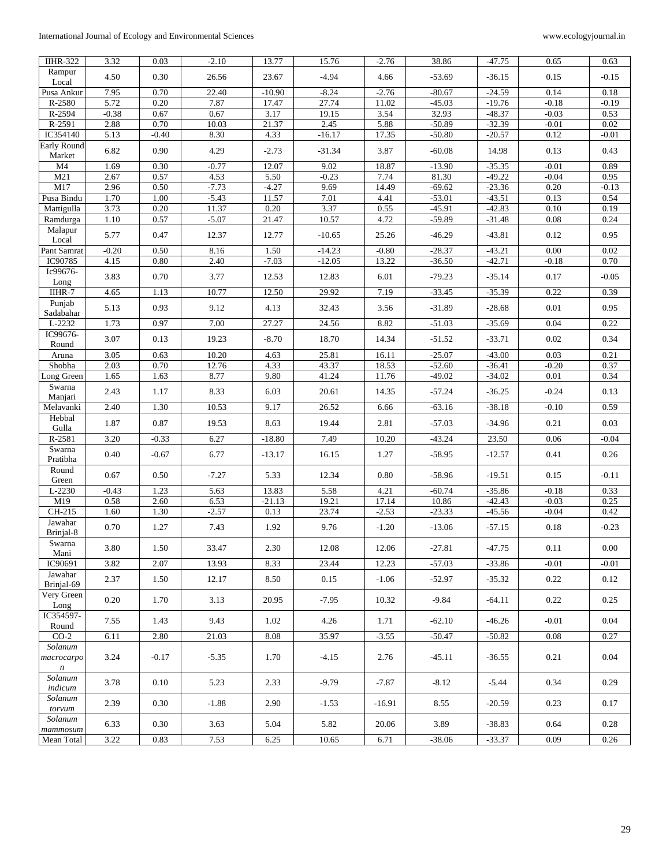## International Journal of Ecology and Environmental Sciences www.ecologyjournal.in

| <b>IIHR-322</b>                | 3.32    | 0.03    | $-2.10$ | 13.77    | 15.76    | $-2.76$  | 38.86    | $-47.75$ | 0.65    | 0.63    |
|--------------------------------|---------|---------|---------|----------|----------|----------|----------|----------|---------|---------|
| Rampur<br>Local                | 4.50    | 0.30    | 26.56   | 23.67    | $-4.94$  | 4.66     | $-53.69$ | $-36.15$ | 0.15    | $-0.15$ |
| Pusa Ankur                     | 7.95    | 0.70    | 22.40   | $-10.90$ | $-8.24$  | $-2.76$  | $-80.67$ | $-24.59$ | 0.14    | 0.18    |
| R-2580                         | 5.72    | 0.20    | 7.87    | 17.47    | 27.74    | 11.02    | $-45.03$ | $-19.76$ | $-0.18$ | $-0.19$ |
| R-2594                         | $-0.38$ | 0.67    | 0.67    | 3.17     | 19.15    | 3.54     | 32.93    | $-48.37$ | $-0.03$ | 0.53    |
| R-2591                         | 2.88    | 0.70    | 10.03   | 21.37    | 2.45     | 5.88     | $-50.89$ | $-32.39$ | $-0.01$ | 0.02    |
| IC354140                       | 5.13    | $-0.40$ | 8.30    | 4.33     | $-16.17$ | 17.35    | $-50.80$ | $-20.57$ | 0.12    | $-0.01$ |
| <b>Early Round</b><br>Market   | 6.82    | 0.90    | 4.29    | $-2.73$  | $-31.34$ | 3.87     | $-60.08$ | 14.98    | 0.13    | 0.43    |
| M <sub>4</sub>                 | 1.69    | 0.30    | $-0.77$ | 12.07    | 9.02     | 18.87    | $-13.90$ | $-35.35$ | $-0.01$ | 0.89    |
| M21                            | 2.67    | 0.57    | 4.53    | 5.50     | $-0.23$  | 7.74     | 81.30    | $-49.22$ | $-0.04$ | 0.95    |
| M17                            | 2.96    | 0.50    | $-7.73$ | $-4.27$  | 9.69     | 14.49    | $-69.62$ | $-23.36$ | 0.20    | $-0.13$ |
| Pusa Bindu                     | 1.70    | 1.00    | $-5.43$ | 11.57    | 7.01     | 4.41     | $-53.01$ | -43.51   | 0.13    | 0.54    |
| Mattigulla                     | 3.73    | 0.20    | 11.37   | 0.20     | 3.37     | 0.55     | $-45.91$ | $-42.83$ | 0.10    | 0.19    |
| Ramdurga                       | 1.10    | 0.57    | $-5.07$ | 21.47    | 10.57    | 4.72     | $-59.89$ | $-31.48$ | 0.08    | 0.24    |
| Malapur<br>Local               | 5.77    | 0.47    | 12.37   | 12.77    | $-10.65$ | 25.26    | $-46.29$ | $-43.81$ | 0.12    | 0.95    |
| Pant Samrat                    | $-0.20$ | 0.50    | 8.16    | 1.50     | $-14.23$ | $-0.80$  | $-28.37$ | $-43.21$ | 0.00    | 0.02    |
| IC90785                        | 4.15    | 0.80    | 2.40    | $-7.03$  | $-12.05$ | 13.22    | $-36.50$ | $-42.71$ | $-0.18$ | 0.70    |
| Ic99676-                       |         |         |         |          |          |          |          |          |         |         |
| Long                           | 3.83    | 0.70    | 3.77    | 12.53    | 12.83    | 6.01     | $-79.23$ | $-35.14$ | 0.17    | $-0.05$ |
| IIHR-7                         | 4.65    | 1.13    | 10.77   | 12.50    | 29.92    | 7.19     | $-33.45$ | $-35.39$ | 0.22    | 0.39    |
| Punjab<br>Sadabahar            | 5.13    | 0.93    | 9.12    | 4.13     | 32.43    | 3.56     | $-31.89$ | $-28.68$ | 0.01    | 0.95    |
| L-2232                         | 1.73    | 0.97    | 7.00    | 27.27    | 24.56    | 8.82     | $-51.03$ | $-35.69$ | 0.04    | 0.22    |
| IC99676-<br>Round              | 3.07    | 0.13    | 19.23   | $-8.70$  | 18.70    | 14.34    | $-51.52$ | $-33.71$ | 0.02    | 0.34    |
| Aruna                          | 3.05    | 0.63    | 10.20   | 4.63     | 25.81    | 16.11    | $-25.07$ | $-43.00$ | 0.03    | 0.21    |
| Shobha                         | 2.03    | 0.70    | 12.76   | 4.33     | 43.37    | 18.53    | $-52.60$ | $-36.41$ | $-0.20$ | 0.37    |
| Long Green                     | 1.65    | 1.63    | 8.77    | 9.80     | 41.24    | 11.76    | $-49.02$ | $-34.02$ | 0.01    | 0.34    |
| Swarna<br>Manjari              | 2.43    | 1.17    | 8.33    | 6.03     | 20.61    | 14.35    | $-57.24$ | $-36.25$ | $-0.24$ | 0.13    |
| Melavanki                      | 2.40    | 1.30    | 10.53   | 9.17     | 26.52    | 6.66     | $-63.16$ | $-38.18$ | $-0.10$ | 0.59    |
| Hebbal<br>Gulla                | 1.87    | 0.87    | 19.53   | 8.63     | 19.44    | 2.81     | $-57.03$ | $-34.96$ | 0.21    | 0.03    |
| R-2581                         | 3.20    | $-0.33$ | 6.27    | $-18.80$ | 7.49     | 10.20    | $-43.24$ | 23.50    | 0.06    | $-0.04$ |
| Swarna<br>Pratibha             | 0.40    | $-0.67$ | 6.77    | $-13.17$ | 16.15    | 1.27     | $-58.95$ | $-12.57$ | 0.41    | 0.26    |
| Round<br>Green                 | 0.67    | 0.50    | $-7.27$ | 5.33     | 12.34    | 0.80     | $-58.96$ | $-19.51$ | 0.15    | $-0.11$ |
| L-2230                         | $-0.43$ | 1.23    | 5.63    | 13.83    | 5.58     | 4.21     | $-60.74$ | $-35.86$ | $-0.18$ | 0.33    |
| M19                            | 0.58    | 2.60    | 6.53    | $-21.13$ | 19.21    | 17.14    | 10.86    | $-42.43$ | $-0.03$ | 0.25    |
| CH-215                         | 1.60    | 1.30    | $-2.57$ | 0.13     | 23.74    | $-2.53$  | $-23.33$ | $-45.56$ | $-0.04$ | 0.42    |
| Jawahar                        | 0.70    | 1.27    | 7.43    | 1.92     | 9.76     | $-1.20$  | $-13.06$ | $-57.15$ | 0.18    | $-0.23$ |
| Brinjal-8<br>Swarna            | 3.80    | 1.50    | 33.47   | 2.30     | 12.08    | 12.06    | $-27.81$ | $-47.75$ | 0.11    | 0.00    |
| Mani                           |         |         |         |          |          |          |          |          |         |         |
| IC90691                        | 3.82    | 2.07    | 13.93   | 8.33     | 23.44    | 12.23    | $-57.03$ | $-33.86$ | $-0.01$ | $-0.01$ |
| Jawahar<br>Brinjal-69          | 2.37    | 1.50    | 12.17   | 8.50     | 0.15     | $-1.06$  | $-52.97$ | $-35.32$ | 0.22    | 0.12    |
| Very Green<br>Long             | 0.20    | 1.70    | 3.13    | 20.95    | $-7.95$  | 10.32    | -9.84    | $-64.11$ | 0.22    | 0.25    |
| IC354597-<br>Round             | 7.55    | 1.43    | 9.43    | 1.02     | 4.26     | 1.71     | $-62.10$ | $-46.26$ | $-0.01$ | 0.04    |
| $CO-2$                         | 6.11    | 2.80    | 21.03   | 8.08     | 35.97    | $-3.55$  | $-50.47$ | $-50.82$ | 0.08    | 0.27    |
| Solanum<br>macrocarpo<br>$\,n$ | 3.24    | $-0.17$ | $-5.35$ | 1.70     | $-4.15$  | 2.76     | $-45.11$ | $-36.55$ | 0.21    | 0.04    |
| Solanum<br>indicum             | 3.78    | 0.10    | 5.23    | 2.33     | $-9.79$  | $-7.87$  | $-8.12$  | $-5.44$  | 0.34    | 0.29    |
| Solanum<br>torvum              | 2.39    | 0.30    | $-1.88$ | 2.90     | $-1.53$  | $-16.91$ | 8.55     | $-20.59$ | 0.23    | 0.17    |
| Solanum<br>$m$ ammosum         | 6.33    | 0.30    | 3.63    | 5.04     | 5.82     | 20.06    | 3.89     | $-38.83$ | 0.64    | 0.28    |
| Mean Total                     | 3.22    | 0.83    | 7.53    | 6.25     | 10.65    | 6.71     | $-38.06$ | $-33.37$ | 0.09    | 0.26    |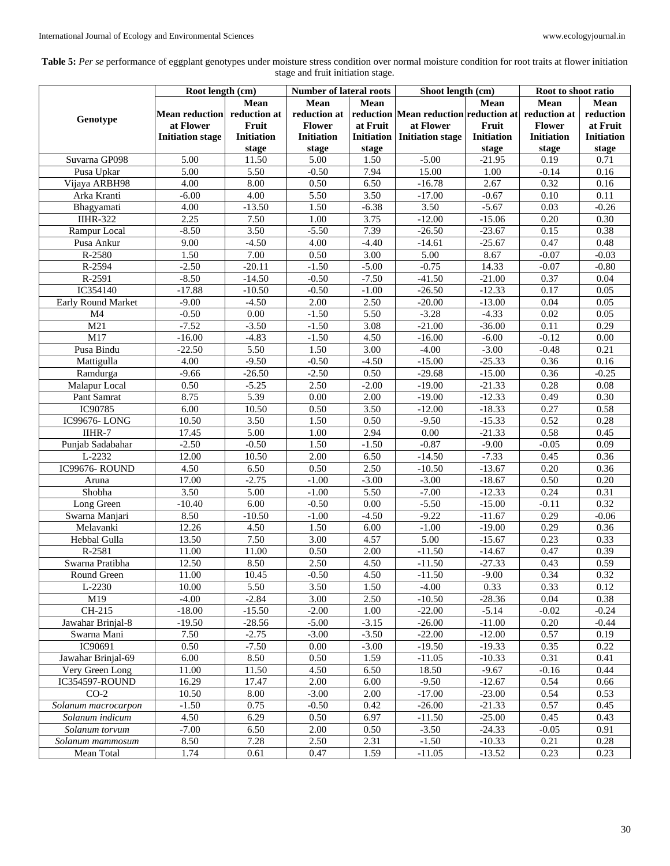| Table 5: Per se performance of eggplant genotypes under moisture stress condition over normal moisture condition for root traits at flower initiation |
|-------------------------------------------------------------------------------------------------------------------------------------------------------|
| stage and fruit initiation stage.                                                                                                                     |

|                     | Root length (cm)            |            | <b>Number of lateral roots</b> |                   | Shoot length (cm)                     |                  | Root to shoot ratio |                   |
|---------------------|-----------------------------|------------|--------------------------------|-------------------|---------------------------------------|------------------|---------------------|-------------------|
|                     |                             | Mean       | Mean                           | <b>Mean</b>       |                                       | Mean             | Mean                | Mean              |
|                     | Mean reduction reduction at |            | reduction at                   |                   | reduction Mean reduction reduction at |                  | reduction at        | reduction         |
| Genotype            | at Flower                   | Fruit      | <b>Flower</b>                  | at Fruit          | at Flower                             | Fruit            | <b>Flower</b>       | at Fruit          |
|                     |                             | Initiation | <b>Initiation</b>              |                   |                                       | Initiation       | <b>Initiation</b>   | <b>Initiation</b> |
|                     | <b>Initiation stage</b>     |            |                                |                   | <b>Initiation</b> Initiation stage    |                  |                     |                   |
| Suvarna GP098       |                             | stage      | stage                          | stage             |                                       | stage            | stage               | stage             |
|                     | 5.00<br>5.00                | 11.50      | 5.00                           | 1.50              | $-5.00$                               | $-21.95$<br>1.00 | 0.19                | 0.71<br>0.16      |
| Pusa Upkar          |                             | 5.50       | $-0.50$                        | 7.94              | 15.00                                 |                  | $-0.14$             |                   |
| Vijaya ARBH98       | 4.00                        | 8.00       | 0.50                           | 6.50              | $-16.78$                              | 2.67             | 0.32                | 0.16              |
| Arka Kranti         | $-6.00$                     | 4.00       | 5.50                           | 3.50              | $-17.00$                              | $-0.67$          | 0.10                | 0.11              |
| Bhagyamati          | 4.00                        | $-13.50$   | 1.50                           | $-6.38$           | 3.50                                  | $-5.67$          | 0.03                | $-0.26$           |
| <b>IIHR-322</b>     | 2.25                        | 7.50       | 1.00                           | 3.75              | $-12.00$                              | $-15.06$         | 0.20                | 0.30              |
| Rampur Local        | $-8.50$                     | 3.50       | $-5.50$                        | 7.39              | $-26.50$                              | $-23.67$         | 0.15                | 0.38              |
| Pusa Ankur          | 9.00                        | $-4.50$    | 4.00                           | $-4.40$           | $-14.61$                              | $-25.67$         | 0.47                | 0.48              |
| R-2580              | 1.50                        | 7.00       | 0.50                           | $\overline{3.00}$ | 5.00                                  | 8.67             | $-0.07$             | $-0.03$           |
| R-2594              | $-2.50$                     | $-20.11$   | $-1.50$                        | $-5.00$           | $-0.75$                               | 14.33            | $-0.07$             | $-0.80$           |
| R-2591              | $-8.50$                     | $-14.50$   | $-0.50$                        | $-7.50$           | $-41.50$                              | $-21.00$         | 0.37                | 0.04              |
| IC354140            | $-17.88$                    | $-10.50$   | $-0.50$                        | $-1.00$           | $-26.50$                              | $-12.33$         | 0.17                | 0.05              |
| Early Round Market  | $-9.00$                     | $-4.50$    | 2.00                           | 2.50              | $-20.00$                              | $-13.00$         | 0.04                | 0.05              |
| M <sub>4</sub>      | $-0.50$                     | 0.00       | $-1.50$                        | 5.50              | $-3.28$                               | $-4.33$          | 0.02                | 0.05              |
| M21                 | $-7.52$                     | $-3.50$    | $-1.50$                        | 3.08              | $-21.00$                              | $-36.00$         | 0.11                | 0.29              |
| M17                 | $-16.00$                    | $-4.83$    | $-1.50$                        | 4.50              | $-16.00$                              | $-6.00$          | $-0.12$             | 0.00              |
| Pusa Bindu          | $-22.50$                    | 5.50       | 1.50                           | 3.00              | $-4.00$                               | $-3.00$          | $-0.48$             | 0.21              |
| Mattigulla          | 4.00                        | $-9.50$    | $-0.50$                        | $-4.50$           | $-15.00$                              | $-25.33$         | 0.36                | 0.16              |
| Ramdurga            | $-9.66$                     | $-26.50$   | $-2.50$                        | 0.50              | $-29.68$                              | $-15.00$         | 0.36                | $-0.25$           |
| Malapur Local       | 0.50                        | $-5.25$    | 2.50                           | $-2.00$           | $-19.00$                              | $-21.33$         | 0.28                | 0.08              |
| Pant Samrat         | 8.75                        | 5.39       | 0.00                           | 2.00              | $-19.00$                              | $-12.33$         | 0.49                | 0.30              |
| IC90785             | 6.00                        | 10.50      | 0.50                           | 3.50              | $-12.00$                              | $-18.33$         | 0.27                | 0.58              |
| <b>IC99676-LONG</b> | 10.50                       | 3.50       | 1.50                           | 0.50              | $-9.50$                               | $-15.33$         | 0.52                | 0.28              |
| IIHR-7              | 17.45                       | 5.00       | 1.00                           | 2.94              | 0.00                                  | $-21.33$         | 0.58                | 0.45              |
| Punjab Sadabahar    | $-2.50$                     | $-0.50$    | 1.50                           | $-1.50$           | $-0.87$                               | $-9.00$          | $-0.05$             | 0.09              |
| L-2232              | 12.00                       | 10.50      | 2.00                           | 6.50              | $-14.50$                              | $-7.33$          | 0.45                | 0.36              |
| IC99676-ROUND       | 4.50                        | 6.50       | 0.50                           | 2.50              | $-10.50$                              | $-13.67$         | 0.20                | 0.36              |
| Aruna               | 17.00                       | $-2.75$    | $-1.00$                        | $-3.00$           | $-3.00$                               | $-18.67$         | 0.50                | 0.20              |
| Shobha              | 3.50                        | 5.00       | $-1.00$                        | 5.50              | $-7.00$                               | $-12.33$         | 0.24                | 0.31              |
| Long Green          | $-10.40$                    | 6.00       | $-0.50$                        | 0.00              | $-5.50$                               | $-15.00$         | $-0.11$             | 0.32              |
| Swarna Manjari      | 8.50                        | $-10.50$   | $-1.00$                        | $-4.50$           | $-9.22$                               | $-11.67$         | 0.29                | $-0.06$           |
| Melavanki           | 12.26                       | 4.50       | 1.50                           | 6.00              | $-1.00$                               | $-19.00$         | 0.29                | 0.36              |
| Hebbal Gulla        | 13.50                       | 7.50       | 3.00                           | 4.57              | 5.00                                  | $-15.67$         | 0.23                | 0.33              |
| R-2581              | 11.00                       | 11.00      | 0.50                           | 2.00              | $-11.50$                              | $-14.67$         | 0.47                | 0.39              |
| Swarna Pratibha     | 12.50                       | 8.50       | 2.50                           | 4.50              | $-11.50$                              | $-27.33$         | 0.43                | 0.59              |
| Round Green         | 11.00                       | 10.45      | $-0.50$                        | 4.50              | $-11.50$                              | $-9.00$          | 0.34                | 0.32              |
| L-2230              | 10.00                       | 5.50       | 3.50                           | 1.50              | $-4.00$                               | 0.33             | 0.33                | 0.12              |
| M19                 | $-4.00$                     | $-2.84$    | 3.00                           | 2.50              | $-10.50$                              | $-28.36$         | 0.04                | 0.38              |
| CH-215              | $-18.00$                    | $-15.50$   | $-2.00$                        | 1.00              | $-22.00$                              | $-5.14$          | $-0.02$             | $-0.24$           |
| Jawahar Brinjal-8   | $-19.50$                    | $-28.56$   | $-5.00$                        | $-3.15$           | $-26.00$                              | $-11.00$         | 0.20                | $-0.44$           |
| Swarna Mani         | 7.50                        | $-2.75$    | $-3.00$                        | $-3.50$           | $-22.00$                              | $-12.00$         | 0.57                | 0.19              |
| IC90691             | 0.50                        | $-7.50$    | 0.00                           | $-3.00$           | $-19.50$                              | $-19.33$         | 0.35                | 0.22              |
| Jawahar Brinjal-69  | 6.00                        | 8.50       | 0.50                           | 1.59              | $-11.05$                              | $-10.33$         | 0.31                | 0.41              |
| Very Green Long     | 11.00                       | 11.50      | 4.50                           | 6.50              | 18.50                                 | $-9.67$          | $-0.16$             | 0.44              |
| IC354597-ROUND      | 16.29                       | 17.47      | 2.00                           | 6.00              | $-9.50$                               | $-12.67$         | 0.54                | 0.66              |
| $CO-2$              | 10.50                       | 8.00       | $-3.00$                        | 2.00              | $-17.00$                              | $-23.00$         | 0.54                | 0.53              |
| Solanum macrocarpon | $-1.50$                     | 0.75       | $-0.50$                        | 0.42              | $-26.00$                              | $-21.33$         | 0.57                | 0.45              |
| Solanum indicum     | 4.50                        | 6.29       | 0.50                           | 6.97              | $-11.50$                              | $-25.00$         | 0.45                | 0.43              |
| Solanum torvum      | $-7.00$                     | 6.50       | 2.00                           | 0.50              | $-3.50$                               | $-24.33$         | $-0.05$             | 0.91              |
| Solanum mammosum    | 8.50                        | 7.28       | 2.50                           | 2.31              | $-1.50$                               | $-10.33$         | 0.21                | 0.28              |
| Mean Total          | 1.74                        | 0.61       | 0.47                           | 1.59              | $-11.05$                              | $-13.52$         | 0.23                | 0.23              |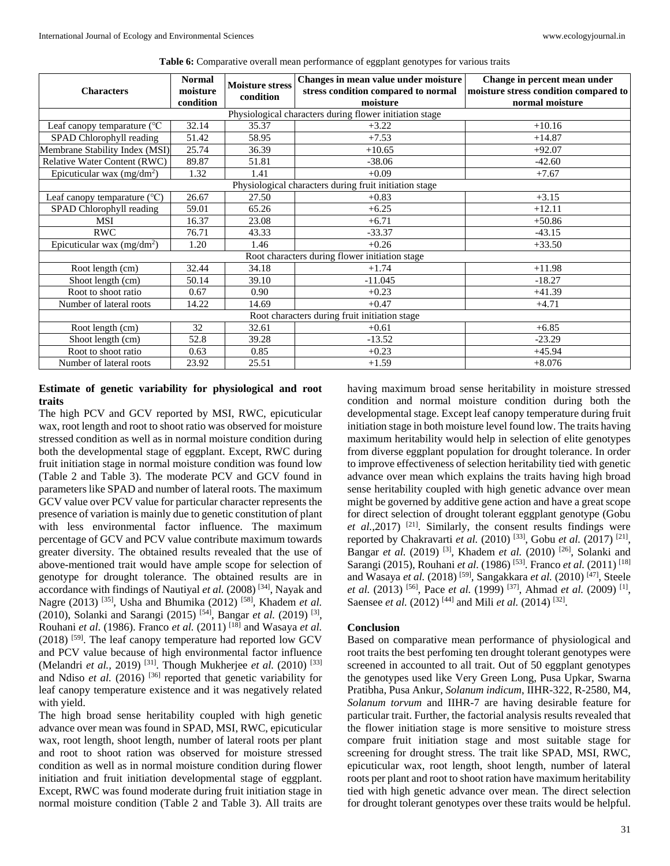| <b>Characters</b>                             | <b>Normal</b><br><b>Moisture stress</b><br>moisture<br>condition |       | Changes in mean value under moisture<br>stress condition compared to normal | Change in percent mean under<br>moisture stress condition compared to |  |  |  |  |  |
|-----------------------------------------------|------------------------------------------------------------------|-------|-----------------------------------------------------------------------------|-----------------------------------------------------------------------|--|--|--|--|--|
|                                               | condition                                                        |       | moisture                                                                    | normal moisture                                                       |  |  |  |  |  |
|                                               |                                                                  |       | Physiological characters during flower initiation stage                     |                                                                       |  |  |  |  |  |
| Leaf canopy temparature (°C                   | 32.14                                                            | 35.37 | $+3.22$                                                                     | $+10.16$                                                              |  |  |  |  |  |
| SPAD Chlorophyll reading                      | 51.42                                                            | 58.95 | $+7.53$                                                                     | $+14.87$                                                              |  |  |  |  |  |
| Membrane Stability Index (MSI)                | 25.74                                                            | 36.39 | $+10.65$                                                                    | $+92.07$                                                              |  |  |  |  |  |
| Relative Water Content (RWC)                  | 89.87                                                            | 51.81 | $-38.06$                                                                    | $-42.60$                                                              |  |  |  |  |  |
| Epicuticular wax $(mg/dm^2)$                  | 1.32                                                             | 1.41  | $+0.09$                                                                     | $+7.67$                                                               |  |  |  |  |  |
|                                               |                                                                  |       | Physiological characters during fruit initiation stage                      |                                                                       |  |  |  |  |  |
| Leaf canopy temparature $({}^{\circ}C)$       | 26.67                                                            | 27.50 | $+0.83$                                                                     | $+3.15$                                                               |  |  |  |  |  |
| SPAD Chlorophyll reading                      | 59.01                                                            | 65.26 | $+6.25$                                                                     | $+12.11$                                                              |  |  |  |  |  |
| <b>MSI</b>                                    | 16.37                                                            | 23.08 | $+6.71$                                                                     | $+50.86$                                                              |  |  |  |  |  |
| <b>RWC</b>                                    | 76.71                                                            | 43.33 | $-33.37$                                                                    | $-43.15$                                                              |  |  |  |  |  |
| Epicuticular wax $(mg/dm^2)$                  | 1.20                                                             | 1.46  | $+0.26$                                                                     | $+33.50$                                                              |  |  |  |  |  |
|                                               |                                                                  |       | Root characters during flower initiation stage                              |                                                                       |  |  |  |  |  |
| Root length (cm)                              | 32.44                                                            | 34.18 | $+1.74$                                                                     | $+11.98$                                                              |  |  |  |  |  |
| Shoot length (cm)                             | 50.14                                                            | 39.10 | $-11.045$                                                                   | $-18.27$                                                              |  |  |  |  |  |
| Root to shoot ratio                           | 0.67                                                             | 0.90  | $+0.23$                                                                     | $+41.39$                                                              |  |  |  |  |  |
| Number of lateral roots                       | 14.22                                                            | 14.69 | $+0.47$                                                                     | $+4.71$                                                               |  |  |  |  |  |
| Root characters during fruit initiation stage |                                                                  |       |                                                                             |                                                                       |  |  |  |  |  |
| Root length (cm)                              | 32                                                               | 32.61 | $+0.61$                                                                     | $+6.85$                                                               |  |  |  |  |  |
| Shoot length (cm)                             | 52.8                                                             | 39.28 | $-13.52$                                                                    | $-23.29$                                                              |  |  |  |  |  |
| Root to shoot ratio                           | 0.63                                                             | 0.85  | $+0.23$                                                                     | $+45.94$                                                              |  |  |  |  |  |
| Number of lateral roots                       | 23.92                                                            | 25.51 | $+1.59$                                                                     | $+8.076$                                                              |  |  |  |  |  |

**Table 6:** Comparative overall mean performance of eggplant genotypes for various traits

## **Estimate of genetic variability for physiological and root traits**

The high PCV and GCV reported by MSI, RWC, epicuticular wax, root length and root to shoot ratio was observed for moisture stressed condition as well as in normal moisture condition during both the developmental stage of eggplant. Except, RWC during fruit initiation stage in normal moisture condition was found low (Table 2 and Table 3). The moderate PCV and GCV found in parameters like SPAD and number of lateral roots. The maximum GCV value over PCV value for particular character represents the presence of variation is mainly due to genetic constitution of plant with less environmental factor influence. The maximum percentage of GCV and PCV value contribute maximum towards greater diversity. The obtained results revealed that the use of above-mentioned trait would have ample scope for selection of genotype for drought tolerance. The obtained results are in accordance with findings of Nautiyal *et al.* (2008) [34], Nayak and Nagre (2013) [35], Usha and Bhumika (2012) [58], Khadem *et al.*  (2010), Solanki and Sarangi (2015) [54], Bangar *et al.* (2019) [3] , Rouhani *et al.* (1986). Franco *et al.* (2011) [18] and Wasaya *et al.*   $(2018)$ <sup>[59]</sup>. The leaf canopy temperature had reported low GCV and PCV value because of high environmental factor influence (Melandri *et al.,* 2019) [31]. Though Mukherjee *et al.* (2010) [33] and Ndiso *et al.* (2016)<sup>[36]</sup> reported that genetic variability for leaf canopy temperature existence and it was negatively related with yield.

The high broad sense heritability coupled with high genetic advance over mean was found in SPAD, MSI, RWC, epicuticular wax, root length, shoot length, number of lateral roots per plant and root to shoot ration was observed for moisture stressed condition as well as in normal moisture condition during flower initiation and fruit initiation developmental stage of eggplant. Except, RWC was found moderate during fruit initiation stage in normal moisture condition (Table 2 and Table 3). All traits are

having maximum broad sense heritability in moisture stressed condition and normal moisture condition during both the developmental stage. Except leaf canopy temperature during fruit initiation stage in both moisture level found low. The traits having maximum heritability would help in selection of elite genotypes from diverse eggplant population for drought tolerance. In order to improve effectiveness of selection heritability tied with genetic advance over mean which explains the traits having high broad sense heritability coupled with high genetic advance over mean might be governed by additive gene action and have a great scope for direct selection of drought tolerant eggplant genotype (Gobu *et al.*, 2017)<sup>[21]</sup>. Similarly, the consent results findings were reported by Chakravarti *et al.* (2010)<sup>[33]</sup>, Gobu *et al.* (2017)<sup>[21]</sup>, Bangar *et al.* (2019) [3], Khadem *et al.* (2010) [26], Solanki and Sarangi (2015), Rouhani *et al.* (1986) <sup>[53]</sup>. Franco *et al.* (2011) <sup>[18]</sup> and Wasaya *et al.* (2018) [59], Sangakkara *et al.* (2010) [47], Steele *et al.* (2013) <sup>[56]</sup>, Pace *et al.* (1999) <sup>[37]</sup>, Ahmad *et al.* (2009) <sup>[1]</sup>, Saensee *et al.* (2012)<sup>[44]</sup> and Mili *et al.* (2014)<sup>[32]</sup>.

### **Conclusion**

Based on comparative mean performance of physiological and root traits the best perfoming ten drought tolerant genotypes were screened in accounted to all trait. Out of 50 eggplant genotypes the genotypes used like Very Green Long, Pusa Upkar, Swarna Pratibha, Pusa Ankur, *Solanum indicum*, IIHR-322, R-2580, M4, *Solanum torvum* and IIHR-7 are having desirable feature for particular trait. Further, the factorial analysis results revealed that the flower initiation stage is more sensitive to moisture stress compare fruit initiation stage and most suitable stage for screening for drought stress. The trait like SPAD, MSI, RWC, epicuticular wax, root length, shoot length, number of lateral roots per plant and root to shoot ration have maximum heritability tied with high genetic advance over mean. The direct selection for drought tolerant genotypes over these traits would be helpful.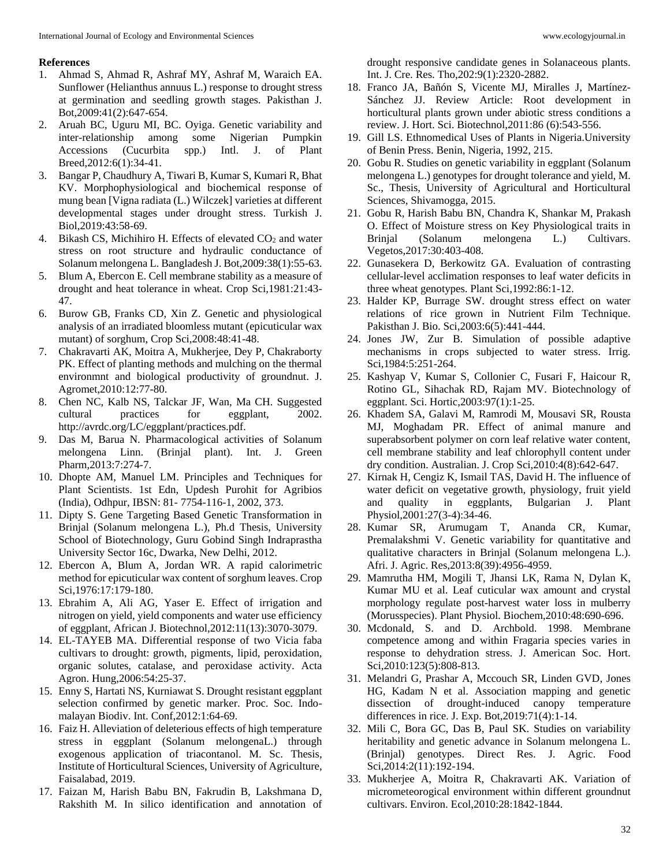#### **References**

- 1. Ahmad S, Ahmad R, Ashraf MY, Ashraf M, Waraich EA. Sunflower (Helianthus annuus L.) response to drought stress at germination and seedling growth stages. Pakisthan J. Bot,2009:41(2):647-654.
- 2. Aruah BC, Uguru MI, BC. Oyiga. Genetic variability and inter-relationship among some Nigerian Pumpkin Accessions (Cucurbita spp.) Intl. J. of Plant Breed,2012:6(1):34-41.
- 3. Bangar P, Chaudhury A, Tiwari B, Kumar S, Kumari R, Bhat KV. Morphophysiological and biochemical response of mung bean [Vigna radiata (L.) Wilczek] varieties at different developmental stages under drought stress. Turkish J. Biol,2019:43:58-69.
- 4. Bikash CS, Michihiro H. Effects of elevated  $CO<sub>2</sub>$  and water stress on root structure and hydraulic conductance of Solanum melongena L. Bangladesh J. Bot,2009:38(1):55-63.
- 5. Blum A, Ebercon E. Cell membrane stability as a measure of drought and heat tolerance in wheat. Crop Sci,1981:21:43- 47.
- 6. Burow GB, Franks CD, Xin Z. Genetic and physiological analysis of an irradiated bloomless mutant (epicuticular wax mutant) of sorghum, Crop Sci,2008:48:41-48.
- 7. Chakravarti AK, Moitra A, Mukherjee, Dey P, Chakraborty PK. Effect of planting methods and mulching on the thermal environmnt and biological productivity of groundnut. J. Agromet,2010:12:77-80.
- 8. Chen NC, Kalb NS, Talckar JF, Wan, Ma CH. Suggested cultural practices for eggplant, 2002. http://avrdc.org/LC/eggplant/practices.pdf.
- 9. Das M, Barua N. Pharmacological activities of Solanum melongena Linn. (Brinjal plant). Int. J. Green Pharm,2013:7:274-7.
- 10. Dhopte AM, Manuel LM. Principles and Techniques for Plant Scientists. 1st Edn, Updesh Purohit for Agribios (India), Odhpur, IBSN: 81- 7754-116-1, 2002, 373.
- 11. Dipty S. Gene Targeting Based Genetic Transformation in Brinjal (Solanum melongena L.), Ph.d Thesis, University School of Biotechnology, Guru Gobind Singh Indraprastha University Sector 16c, Dwarka, New Delhi, 2012.
- 12. Ebercon A, Blum A, Jordan WR. A rapid calorimetric method for epicuticular wax content of sorghum leaves. Crop Sci,1976:17:179-180.
- 13. Ebrahim A, Ali AG, Yaser E. Effect of irrigation and nitrogen on yield, yield components and water use efficiency of eggplant, African J. Biotechnol,2012:11(13):3070-3079.
- 14. EL-TAYEB MA. Differential response of two Vicia faba cultivars to drought: growth, pigments, lipid, peroxidation, organic solutes, catalase, and peroxidase activity. Acta Agron. Hung,2006:54:25-37.
- 15. Enny S, Hartati NS, Kurniawat S. Drought resistant eggplant selection confirmed by genetic marker. Proc. Soc. Indomalayan Biodiv. Int. Conf,2012:1:64-69.
- 16. Faiz H. Alleviation of deleterious effects of high temperature stress in eggplant (Solanum melongenaL.) through exogenous application of triacontanol. M. Sc. Thesis, Institute of Horticultural Sciences, University of Agriculture, Faisalabad, 2019.
- 17. Faizan M, Harish Babu BN, Fakrudin B, Lakshmana D, Rakshith M. In silico identification and annotation of

drought responsive candidate genes in Solanaceous plants. Int. J. Cre. Res. Tho,202:9(1):2320-2882.

- 18. Franco JA, Bañón S, Vicente MJ, Miralles J, Martínez-Sánchez JJ. Review Article: Root development in horticultural plants grown under abiotic stress conditions a review. J. Hort. Sci. Biotechnol,2011:86 (6):543-556.
- 19. Gill LS. Ethnomedical Uses of Plants in Nigeria.University of Benin Press. Benin, Nigeria, 1992, 215.
- 20. Gobu R. Studies on genetic variability in eggplant (Solanum melongena L.) genotypes for drought tolerance and yield, M. Sc., Thesis, University of Agricultural and Horticultural Sciences, Shivamogga, 2015.
- 21. Gobu R, Harish Babu BN, Chandra K, Shankar M, Prakash O. Effect of Moisture stress on Key Physiological traits in Brinjal (Solanum melongena L.) Cultivars. Vegetos,2017:30:403-408.
- 22. Gunasekera D, Berkowitz GA. Evaluation of contrasting cellular-level acclimation responses to leaf water deficits in three wheat genotypes. Plant Sci,1992:86:1-12.
- 23. Halder KP, Burrage SW. drought stress effect on water relations of rice grown in Nutrient Film Technique. Pakisthan J. Bio. Sci,2003:6(5):441-444.
- 24. Jones JW, Zur B. Simulation of possible adaptive mechanisms in crops subjected to water stress. Irrig. Sci,1984:5:251-264.
- 25. Kashyap V, Kumar S, Collonier C, Fusari F, Haicour R, Rotino GL, Sihachak RD, Rajam MV. Biotechnology of eggplant. Sci. Hortic,2003:97(1):1-25.
- 26. Khadem SA, Galavi M, Ramrodi M, Mousavi SR, Rousta MJ, Moghadam PR. Effect of animal manure and superabsorbent polymer on corn leaf relative water content, cell membrane stability and leaf chlorophyll content under dry condition. Australian. J. Crop Sci,2010:4(8):642-647.
- 27. Kirnak H, Cengiz K, Ismail TAS, David H. The influence of water deficit on vegetative growth, physiology, fruit yield and quality in eggplants, Bulgarian J. Plant Physiol,2001:27(3-4):34-46.
- 28. Kumar SR, Arumugam T, Ananda CR, Kumar, Premalakshmi V. Genetic variability for quantitative and qualitative characters in Brinjal (Solanum melongena L.). Afri. J. Agric. Res,2013:8(39):4956-4959.
- 29. Mamrutha HM, Mogili T, Jhansi LK, Rama N, Dylan K, Kumar MU et al. Leaf cuticular wax amount and crystal morphology regulate post-harvest water loss in mulberry (Morusspecies). Plant Physiol. Biochem,2010:48:690-696.
- 30. Mcdonald, S. and D. Archbold. 1998. Membrane competence among and within Fragaria species varies in response to dehydration stress. J. American Soc. Hort. Sci, 2010:123(5): 808-813.
- 31. Melandri G, Prashar A, Mccouch SR, Linden GVD, Jones HG, Kadam N et al. Association mapping and genetic dissection of drought-induced canopy temperature differences in rice. J. Exp. Bot,2019:71(4):1-14.
- 32. Mili C, Bora GC, Das B, Paul SK. Studies on variability heritability and genetic advance in Solanum melongena L. (Brinjal) genotypes. Direct Res. J. Agric. Food Sci,2014:2(11):192-194.
- 33. Mukherjee A, Moitra R, Chakravarti AK. Variation of micrometeorogical environment within different groundnut cultivars. Environ. Ecol,2010:28:1842-1844.